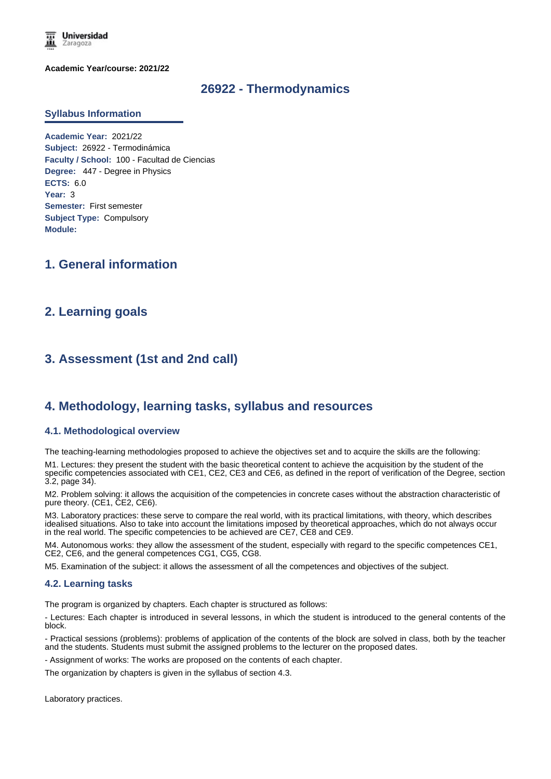

**Academic Year/course: 2021/22**

# **26922 - Thermodynamics**

#### **Syllabus Information**

**Academic Year:** 2021/22 **Subject:** 26922 - Termodinámica **Faculty / School:** 100 - Facultad de Ciencias **Degree:** 447 - Degree in Physics **ECTS:** 6.0 **Year:** 3 **Semester:** First semester **Subject Type:** Compulsory **Module:**

# **1. General information**

# **2. Learning goals**

# **3. Assessment (1st and 2nd call)**

# **4. Methodology, learning tasks, syllabus and resources**

#### **4.1. Methodological overview**

The teaching-learning methodologies proposed to achieve the objectives set and to acquire the skills are the following:

M1. Lectures: they present the student with the basic theoretical content to achieve the acquisition by the student of the specific competencies associated with CE1, CE2, CE3 and CE6, as defined in the report of verification of the Degree, section 3.2, page 34).

M2. Problem solving: it allows the acquisition of the competencies in concrete cases without the abstraction characteristic of pure theory. (CE1, CE2, CE6).

M3. Laboratory practices: these serve to compare the real world, with its practical limitations, with theory, which describes idealised situations. Also to take into account the limitations imposed by theoretical approaches, which do not always occur in the real world. The specific competencies to be achieved are CE7, CE8 and CE9.

M4. Autonomous works: they allow the assessment of the student, especially with regard to the specific competences CE1, CE2, CE6, and the general competences CG1, CG5, CG8.

M5. Examination of the subject: it allows the assessment of all the competences and objectives of the subject.

#### **4.2. Learning tasks**

The program is organized by chapters. Each chapter is structured as follows:

- Lectures: Each chapter is introduced in several lessons, in which the student is introduced to the general contents of the block.

- Practical sessions (problems): problems of application of the contents of the block are solved in class, both by the teacher and the students. Students must submit the assigned problems to the lecturer on the proposed dates.

- Assignment of works: The works are proposed on the contents of each chapter.

The organization by chapters is given in the syllabus of section 4.3.

Laboratory practices.